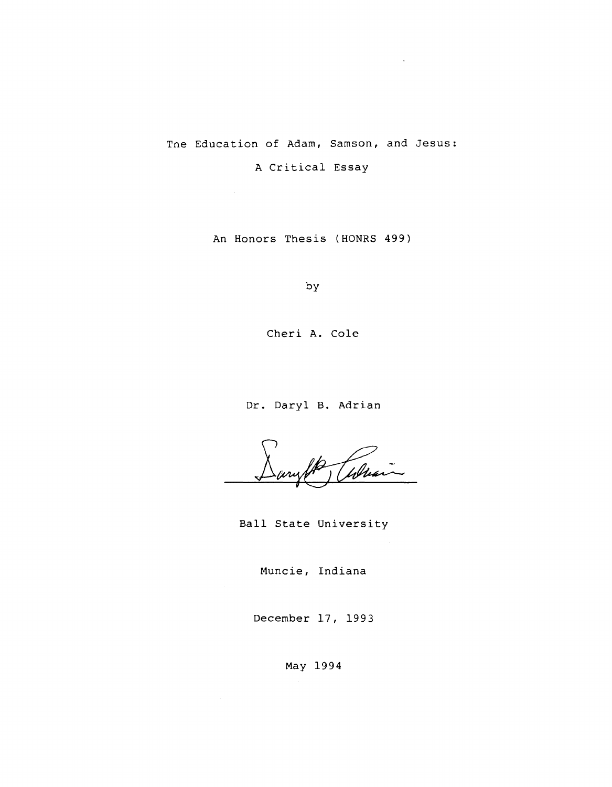Tne Education of Adam, Samson, and Jesus:

A Critical Essay

 $\sim 10$ 

An Honors Thesis (HONRS 499)

by

Cheri A. Cole

Dr. Daryl **B.** Adrian

Tobra

Ball State University

Muncie, Indiana

December 17, 1993

May 1994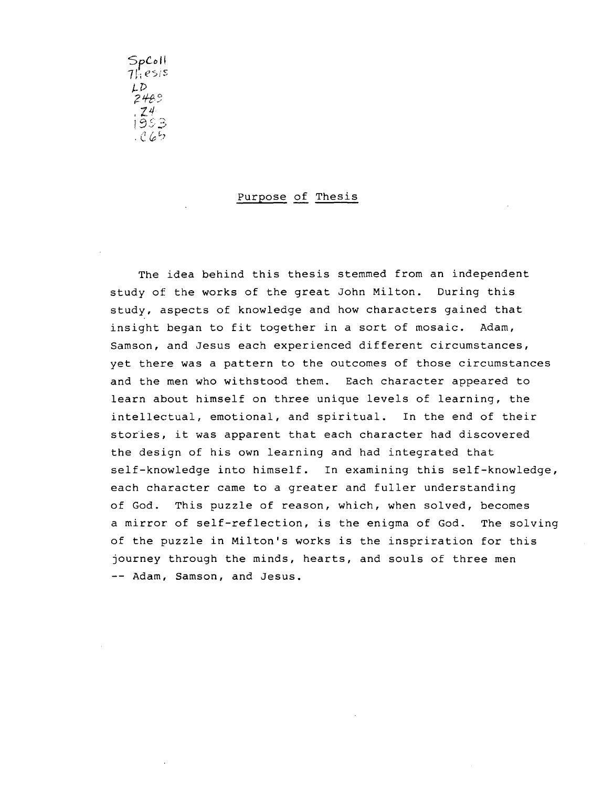*'SpC-ol!*   $7!$ , esis  $LD$ ;2+8~ ,  $74$ 1353 *, C* &: L]

## Purpose of Thesis

The idea behind this thesis stemmed from an independent study of the works of the great John Milton. During this study, aspects of knowledge and how characters gained that insight began to fit together in a sort of mosaic. Adam, Samson, and Jesus each experienced different circumstances, yet there was a pattern to the outcomes of those circumstances and the men who withstood them. Each character appeared to learn about himself on three unique levels of learning, the intellectual, emotional, and spiritual. In the end of their stories, it was apparent that each character had discovered the design of his own learning and had integrated that self-knowledge into himself. In examining this self-knowledge, each character came to a greater and fuller understanding of God. This puzzle of reason, which, when solved, becomes a mirror of self-reflection, is the enigma of God. The solving of the puzzle in Milton's works is the inspriration for this journey through the minds, hearts, and souls of three men -- Adam, Samson, and Jesus.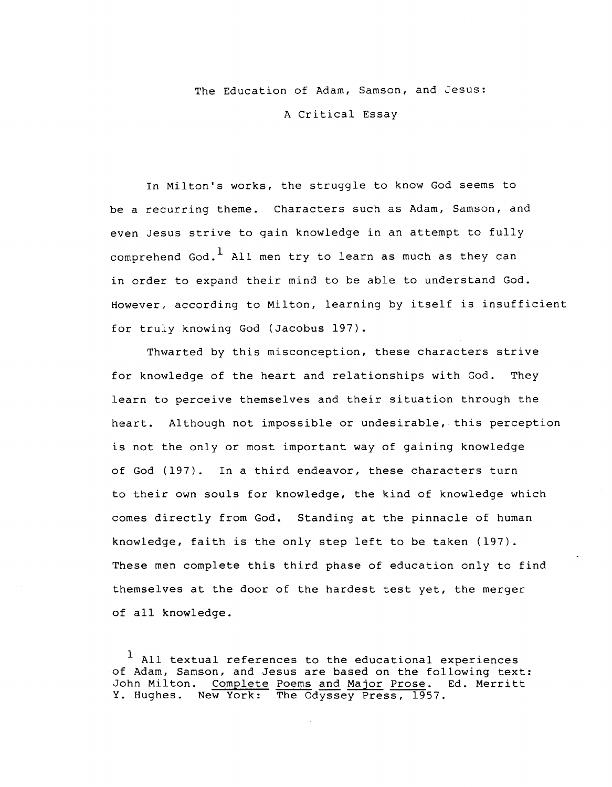The Education of Adam, Samson, and Jesus: A Critical Essay

In Milton's works, the struggle to know God seems to be a recurring theme. Characters such as Adam, Samson, and even Jesus strive to gain knowledge in an attempt to fully comprehend God.<sup>1</sup> All men try to learn as much as they can in order to expand their mind to be able to understand God. However, according to Milton, learning by itself is insufficient for truly knowing God (Jacobus 197).

Thwarted by this misconception, these characters strive for knowledge of the heart and relationships with God. They learn to perceive themselves and their situation through the heart. Although not impossible or undesirable, this perception is not the only or most important way of gaining knowledge of God (197). In a third endeavor, these characters turn to their own souls for knowledge, the kind of knowledge which comes directly from God. Standing at the pinnacle of human knowledge, faith is the only step left to be taken (197). These men complete this third phase of education only to find themselves at the door of the hardest test yet, the merger of all knowledge.

 $<sup>1</sup>$  All textual references to the educational experiences</sup> of Adam, Samson, and Jesus are based on the following text: John Milton. Complete Poems and Major Prose. Ed. Merritt Y. Hughes. New York: The Odyssey Press, 1957.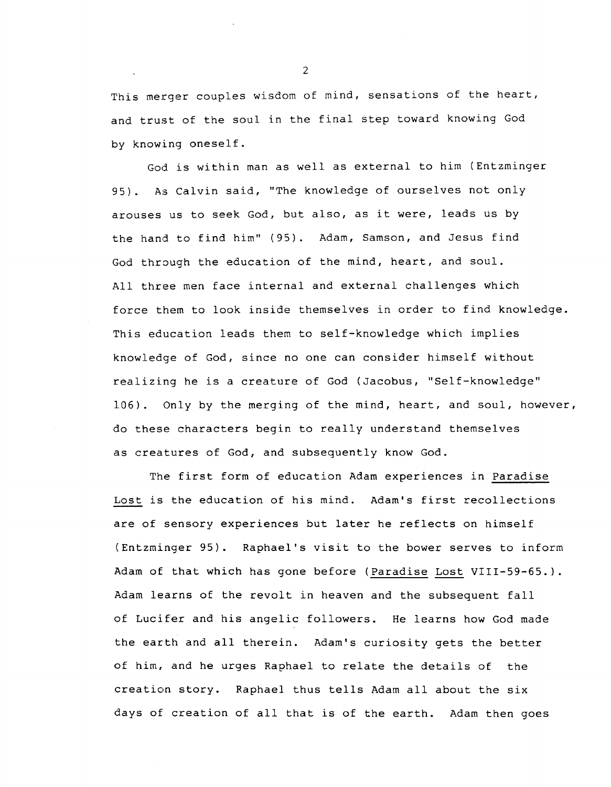This merger couples wisdom of mind, sensations of the heart, and trust of the soul in the final step toward knowing God by knowing oneself.

God is within man as well as external to him (Entzminger 95). As Calvin said, "The knowledge of ourselves not only arouses us to seek God, but also, as it were, leads us by the hand to find him" (95). Adam, Samson, and Jesus find God through the education of the mind, heart, and soul. All three men face internal and external challenges which force them to look inside themselves in order to find knowledge. This education leads them to self-knowledge which implies knowledge of God, since no one can consider himself without realizing he is a creature of God (Jacobus, "Self-knowledge" 106). Only by the merging of the mind, heart, and soul, however, do these characters begin to really understand themselves as creatures of God, and subsequently know God.

The first form of education Adam experiences in Paradise Lost is the education of his mind. Adam's first recollections are of sensory experiences but later he reflects on himself (Entzminger 95). Raphael's visit to the bower serves to inform Adam of that which has gone before (Paradise Lost VIII-59-65.). Adam learns of the revolt in heaven and the subsequent fall of Lucifer and his angelic followers. He learns how God made the earth and all therein. Adam's curiosity gets the better of him, and he urges Raphael to relate the details of the creation story. Raphael thus tells Adam all about the six days of creation of all that is of the earth. Adam then goes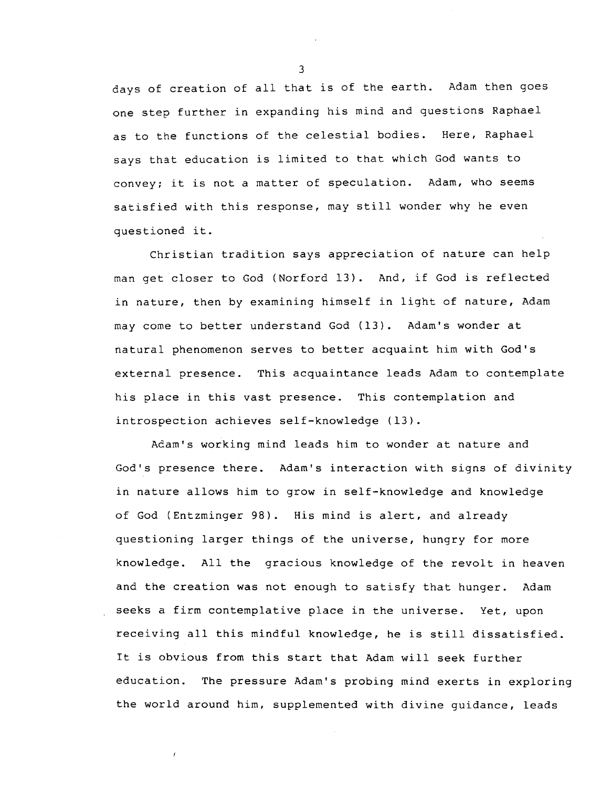days of creation of all that is of the earth. Adam then goes one step further in expanding his mind and questions Raphael as to the functions of the celestial bodies. Here, Raphael says that education is limited to that which God wants to convey; it is not a matter of speculation. Adam, who seems satisfied with this response, may still wonder why he even questioned it.

Christian tradition says appreciation of nature can help man get closer to God (Norford 13). And, if God is reflected in nature, then by examining himself in light of nature, Adam may come to better understand God (13). Adam's wonder at natural phenomenon serves to better acquaint him with God's external presence. This acquaintance leads Adam to contemplate his place in this vast presence. This contemplation and introspection achieves self-knowledge (13).

Acam's working mind leads him to wonder at nature and God's presence there. Adam's interaction with signs of divinity in nature allows him to grow in self-knowledge and knowledge of God (Entzminger 98). His mind is alert, and already questioning larger things of the universe, hungry for more knowledge. All the gracious knowledge of the revolt in heaven and the creation was not enough to satisfy that hunger. Adam seeks a firm contemplative place in the universe. Yet, upon receiving all this mindful knowledge, he is still dissatisfied. It is obvious from this start that Adam will seek further education. The pressure Adam's probing mind exerts in exploring the world around him, supplemented with divine guidance, leads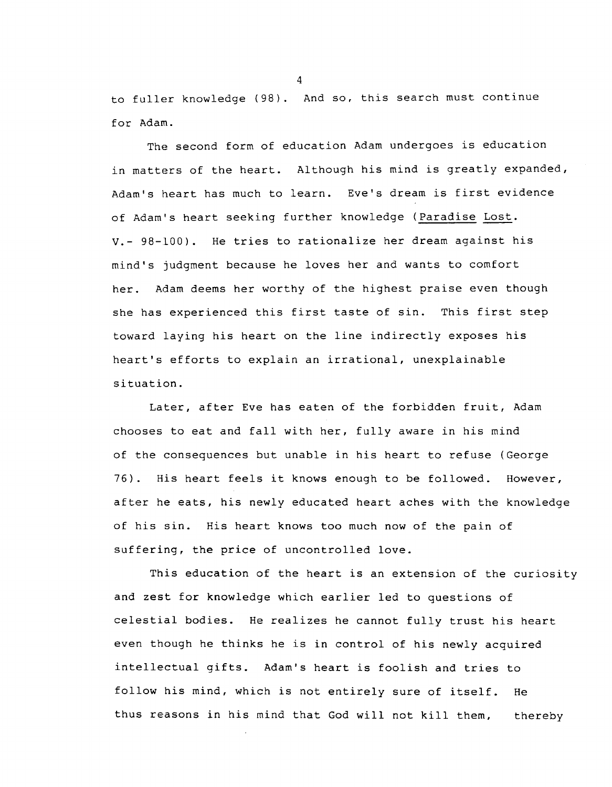to fuller knowledge (98). And so, this search must continue for Adam.

The second form of education Adam undergoes is education in matters of the heart. Although his mind is greatly expanded, Adam's heart has much to learn. Eve's dream is first evidence of Adam's heart seeking further knowledge (Paradise Lost. V.- 98-100). He tries to rationalize her dream against his mind's judgment because he loves her and wants to comfort her. Adam deems her worthy of the highest praise even though she has experienced this first taste of sin. This first step toward laying his heart on the line indirectly exposes his heart's efforts to explain an irrational, unexplainable situation.

Later, after Eve has eaten of the forbidden fruit, Adam chooses to eat and fall with her, fully aware in his mind of the consequences but unable in his heart to refuse (George 76). His heart feels it knows enough to be followed. However, after he eats, his newly educated heart aches with the knowledge of his sin. His heart knows too much now of the pain of suffering, the price of uncontrolled love.

This education of the heart is an extension of the curiosity and zest for knowledge which earlier led to questions of celestial bodies. He realizes he cannot fully trust his heart even though he thinks he is in control of his newly acquired intellectual gifts. Adam's heart is foolish and tries to follow his mind, which is not entirely sure of itself. He thus reasons in his mind that God will not kill them, thereby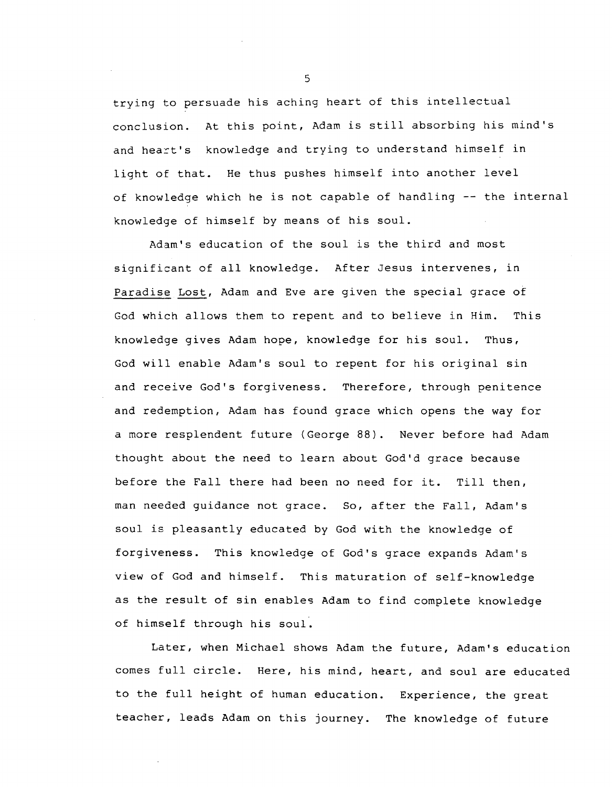trying to persuade his aching heart of this intellectual conclusion. At this point, Adam is still absorbing his mind's and heart's knowledge and trying to understand himself in light of that. He thus pushes himself into another level of knowledge which he is not capable of handling -- the internal knowledge of himself by means of his soul.

Adam's education of the soul is the third and most significant of all knowledge. After Jesus intervenes, in Paradise Lost, Adam and Eve are given the special grace of God which allows them to repent and to believe in Him. This knowledge gives Adam hope, knowledge for his soul. Thus, God will enable Adam's soul to repent for his original sin and receive God's forgiveness. Therefore, through penitence and redemption, Adam has found grace which opens the way for a more resplendent future (George 88). Never before had Adam thought about the need to learn about God'd grace because before the Fall there had been no need for it. Till then, man needed guidance not grace. So, after the Fall, Adam's soul is pleasantly educated by God with the knowledge of forgiveness. This knowledge of God's grace expands Adam's view of God and himself. This maturation of self-knowledge as the result of sin enables Adam to find complete knowledge of himself through his soul.

Later, when Michael shows Adam the future, Adam's education comes full circle. Here, his mind, heart, and soul are educated to the full height of human education. Experience, the great teacher, leads Adam on this journey. The knowledge of future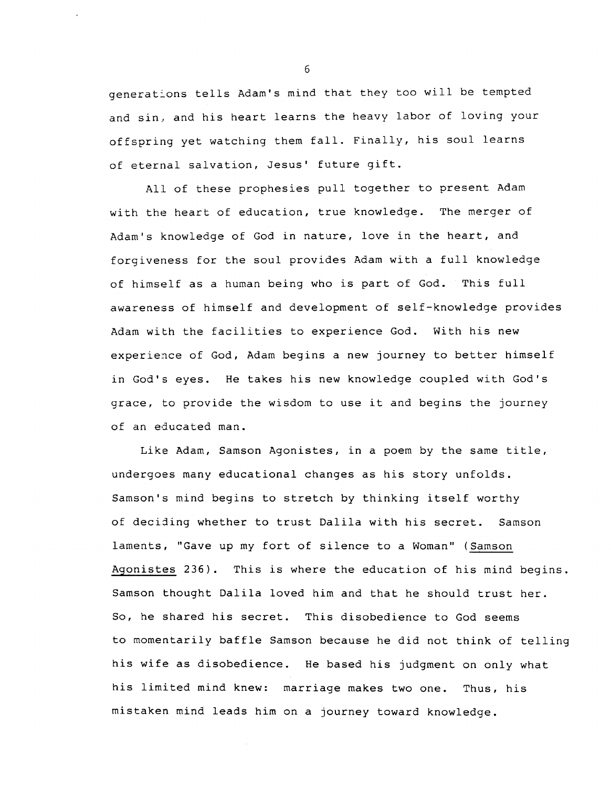generations tells Adam's mind that they too will be tempted and sin, and his heart learns the heavy labor of loving your offspring yet watching them fall. Finally, his soul learns of eternal salvation, Jesus' future gift.

All of these prophesies pull together to present Adam with the heart of education, true knowledge. The merger of Adam's knowledge of God in nature, love in the heart, and forgiveness for the soul provides Adam with a full knowledge of himself as a human being who is part of God. This full awareness of himself and development of self-knowledge provides Adam with the facilities to experience God. With his new experience of God, Adam begins a new journey to better himself in God's eyes. He takes his new knowledge coupled with God's grace, to provide the wisdom to use it and begins the journey of an educated man.

Like Adam, Samson Agonistes, in a poem by the same title, undergoes many educational changes as his story unfolds. Samson's mind begins to stretch by thinking itself worthy of deciding whether to trust Dalila with his secret. Samson laments, "Gave up my fort of silence to a Woman" (Samson Agonistes 236). This is where the education of his mind begins. Samson thought Dalila loved him and that he should trust her. So, he shared his secret. This disobedience to God seems to momentarily baffle Samson because he did not think of telling his wife as disobedience. He based his judgment on only what his limited mind knew: marriage makes two one. Thus, his mistaken mind leads him on a journey toward knowledge.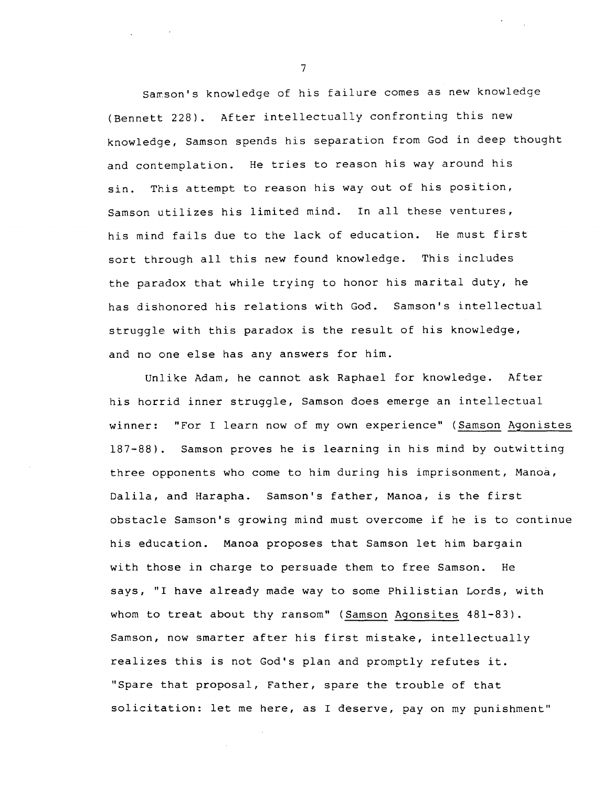Samson's knowledge of his failure comes as new knowledge (Bennett 228). After intellectually confronting this new knowledge, Samson spends his separation from God in deep thought and contemplation. He tries to reason his way around his sin. This attempt to reason his way out of his position, Samson utilizes his limited mind. In all these ventures, his mind fails due to the lack of education. He must first sort through all this new found knowledge. This includes the paradox that while trying to honor his marital duty, he has dishonored his relations with God. Samson's intellectual struggle with this paradox is the result of his knowledge, and no one else has any answers for him.

Unlike Adam, he cannot ask Raphael for knowledge. After his horrid inner struggle, Samson does emerge an intellectual winner: "For I learn now of my own experience" (Samson Agonistes 187-88). Samson proves he is learning in his mind by outwitting three opponents who come to him during his imprisonment, Manoa, Dalila, and Harapha. Samson's father, Manoa, is the first obstacle Samson's growing mind must overcome if he is to continue his education. Manoa proposes that Samson let him bargain with those in charge to persuade them to free Samson. He says, "I have already made way to some Philistian Lords, with whom to treat about thy ransom" (Samson Agonsites 481-83). Samson, now smarter after his first mistake, intellectually realizes this is not God's plan and promptly refutes it. "Spare that proposal, Father, spare the trouble of that solicitation: let me here, as I deserve, pay on my punishment"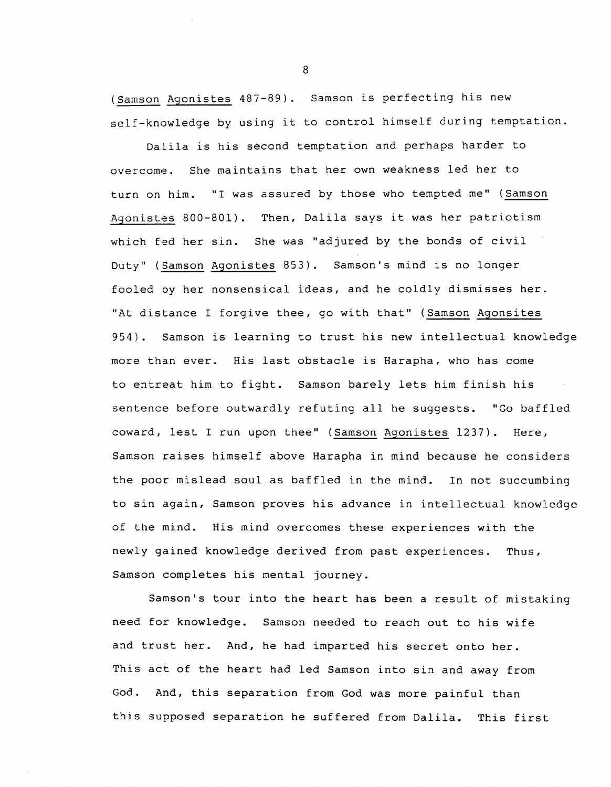(Samson Agonistes 487-89). Samson is perfecting his new self-knowledge by using it to control himself during temptation.

Dalila is his second temptation and perhaps harder to overcome. She maintains that her own weakness led her to turn on him. "I was assured by those who tempted me" (Samson Agonistes 800-801). Then, Dalila says it was her patriotism which fed her sin. She was "adjured by the bonds of civil Duty" (Samson Agonistes 853). Samson's mind is no longer fooled by her nonsensical ideas, and he coldly dismisses her. "At distance I forgive thee, go with that" (Samson Agonsites 954) . Samson is learning to trust his new intellectual knowledge more than ever. His last obstacle is Harapha, who has come to entreat him to fight. Samson barely lets him finish his sentence before outwardly refuting all he suggests. "Go baffled coward, lest I run upon thee" (Samson Agonistes 1237). Here, Samson raises himself above Harapha in mind because he considers the poor mislead soul as baffled in the mind. In not succumbing to sin again, Samson proves his advance in intellectual knowledge of the mind. His mind overcomes these experiences with the newly gained knowledge derived from past experiences. Thus, Samson completes his mental journey.

Samson's tour into the heart has been a result of mistaking need for knowledge. Samson needed to reach out to his wife and trust her. And, he had imparted his secret onto her. This act of the heart had led Samson into sin and away from God. And, this separation from God was more painful than this supposed separation he suffered from Dalila. This first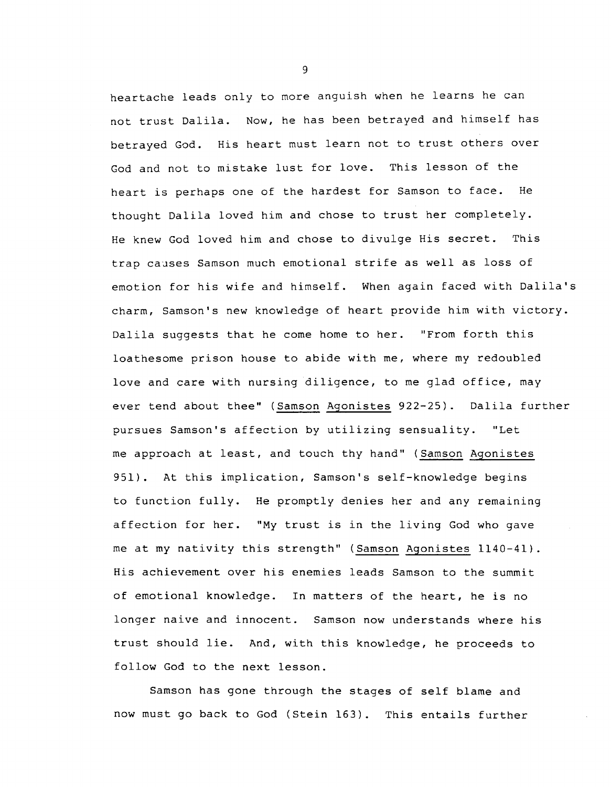heartache leads only to more anguish when he learns he can not trust Dalila. Now, he has been betrayed and himself has betrayed God. His heart must learn not to trust others over God and not to mistake lust for love. This lesson of the heart is perhaps one of the hardest for Samson to face. He thought Dalila loved him and chose to trust her completely. He knew God loved him and chose to divulge His secret. This trap causes Samson much emotional strife as well as loss of emotion for his wife and himself. When again faced with Dalila's charm, Samson's new knowledge of heart provide him with victory. Dalila suggests that he come home to her. "From forth this loathesome prison house to abide with me, where my redoubled love and care with nursing diligence, to me glad office, may ever tend about thee" (Samson Agonistes 922-25). Dalila further pursues Samson's affection by utilizing sensuality. "Let me approach at least, and touch thy hand" (Samson Agonistes 951). At this implication, Samson's self-knowledge begins to function fully. He promptly denies her and any remaining affection for her. "My trust is in the living God who gave me at my nativity this strength" (Samson Agonistes 1140-41). His achievement over his enemies leads Samson to the summit of emotional knowledge. In matters of the heart, he is no longer naive and innocent. Samson now understands where his trust should lie. And, with this knowledge, he proceeds to follow God to the next lesson.

Samson has gone through the stages of self blame and now must go back to God (Stein 163). This entails further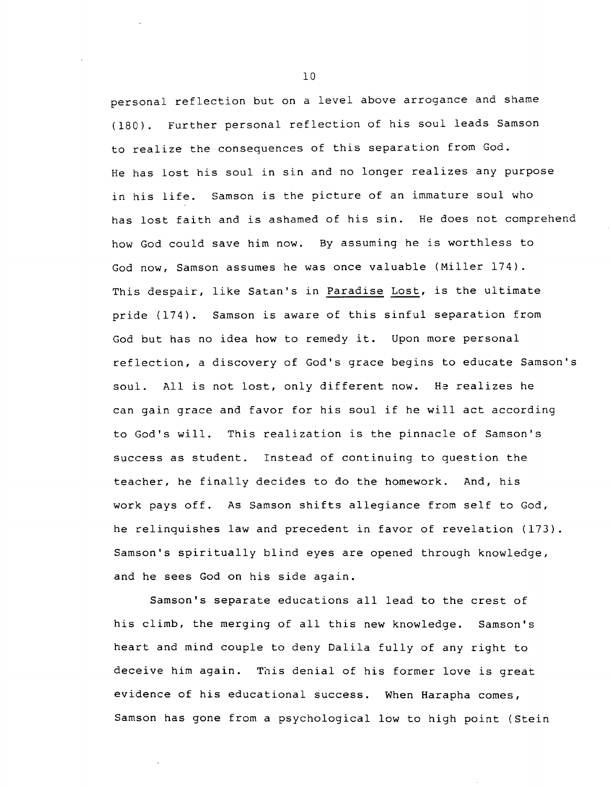personal reflection but on a level above arrogance and shame ( 180) . Further personal reflection of his soul leads Samson to realize the conseguences of this separation from God. He has lost his soul in sin and no longer realizes any purpose in his life. Samson is the picture of an immature soul who has lost faith and is ashamed of his sin. He does not comprehend how God could save him now. By assuming he is worthless to God now, Samson assumes he was once valuable (Miller 174). This despair, like Satan's in Paradise Lost, is the ultimate pride (174). Samson is aware of this sinful separation from God but has no idea how to remedy it. Upon more personal reflection, a discovery of God's grace begins to educate Samson's soul. All is not lost, only different now. He realizes he can gain grace and favor for his soul if he will act according to God's will. This realization is the pinnacle of Samson's success as student. Instead of continuing to question the teacher, he finally decides to do the homework. And, his work pays off. As Samson shifts allegiance from self to God, he celinguishes law and precedent in favor of revelation (173). Samson's spiritually blind eyes are opened through knowledge, and he sees God on his side again.

Samson's separate educations all lead to the crest of his climb, the merging of all this new knowledge. Samson's heart and mind couple to deny Dalila fully of any right to deceive him again. This denial of his former love is great evidence of his educational success. When Harapha comes, Samson has gone from a psychological low to high point (Stein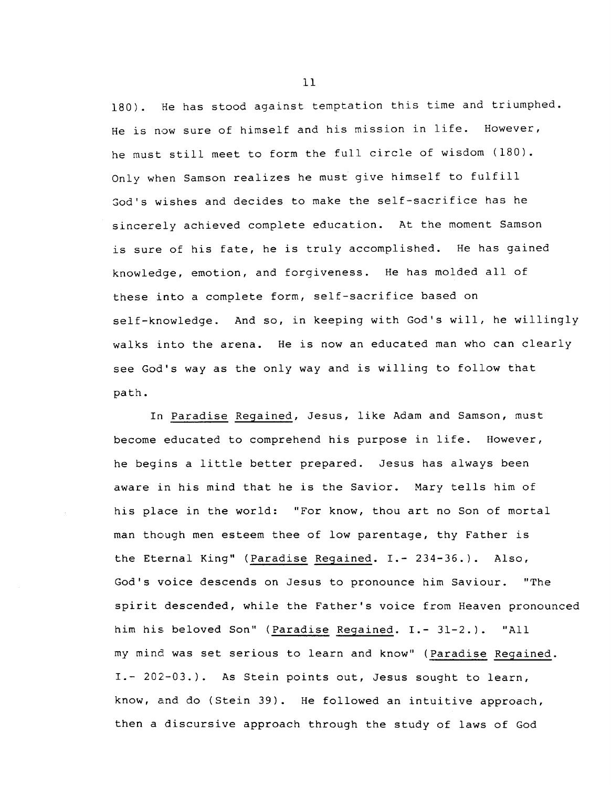180) . He has stood against temptation this time and triumphed. He is now sure of himself and his mission in life. However, he must still meet to form the full circle of wisdom (180). Only when Samson realizes he musi give himself to fulfill God's wishes and decides to make the self-sacrifice has he sincerely achieved complete education. At the moment Samson is sure of his fate, he is truly accomplished. He has gained knowledge, emotion, and forgiveness. He has molded all of these into a complete form, self-sacrifice based on self-knowledge. And so, in keeping with God's will, he willingly walks into the arena. He is now an educated man who can clearly see God's way as the only way and is willing to follow that path.

In Paradise Regained, Jesus, like Adam and Samson, must become educated to comprehend his purpose in life. However, he begins a little better prepared. Jesus has always been aware in his mind that he is the Savior. Mary tells him of his place in the world: "For know, thou art no Son of mortal man though men esteem thee of low parentage, thy Father is the Eternal King" (Paradise Regained. I.- 234-36.). Also, God's voice descends on Jesus to pronounce him Saviour. "The spirit descended, while the Father's voice from Heaven pronounced him his beloved Son" (Paradise Regained. I.- 31-2.). "All my mind was set serious to learn and know" (Paradise Regained. I.- 202-03.). As Stein points out, Jesus sought to learn, know, and do (Stein 39). He followed an intuitive approach, then a discursive approach through the study of laws of God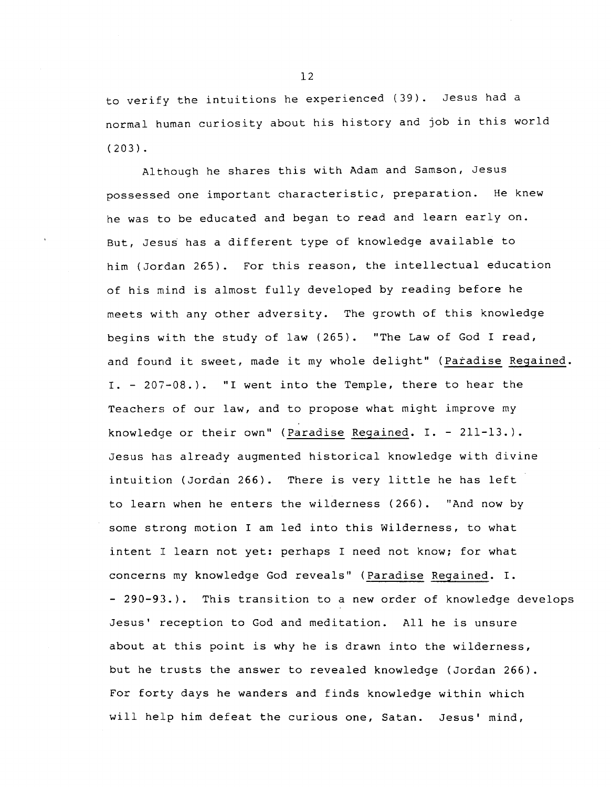to verify the intuitions he experienced (39). Jesus had a normal human curiosity about his history and job in this world ( 203) .

Although he shares this with Adam and Samson, Jesus possessed one important characteristic, preparation. He knew he was to be educated and began to read and learn early on. But, Jesus has a different type of knowledge available to him (Jordan 265). For this reason, the intellectual education of his mind is almost fully developed by reading before he meets with any other adversity. The growth of this knowledge begins with the study of law (265). "The Law of God I read, and found it sweet, made it my whole delight" (Paradise Regained. I. - 207-08.). "I went into the Temple, there to hear the Teachers of our law, and to propose what might improve my knowledge or their own" (Paradise Regained. I. - 211-13.). Jesus has already augmented historical knowledge with divine intuition (Jordan 266). There is very little he has left to learn when he enters the wilderness (266). "And now by some strong motion I am led into this Wilderness, to what intent I learn not yet: perhaps I need not know; for what concerns my knowledge God reveals" (Paradise Regained. I. - 290-93.). This transition to a new order of knowledge develops Jesus' reception to God and meditation. All he is unsure about at this point is why he is drawn into the wilderness, but he trusts the answer to revealed knowledge (Jordan 266). For forty days he wanders and finds knowledge within which will help him defeat the curious one, Satan. Jesus' mind,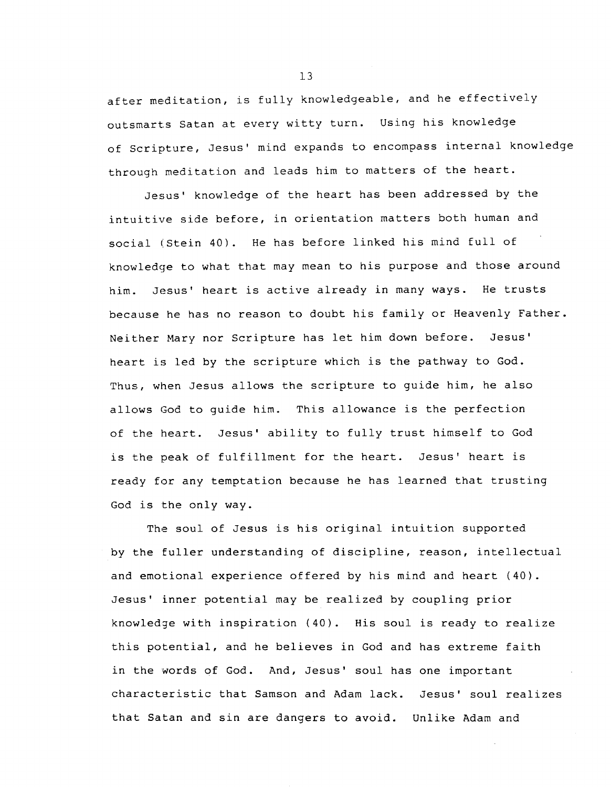after meditation, is fully knowledgeable, and he effectively outsmarts Satan at every witty turn. Using his knowledge of Scripture, Jesus' mind expands to encompass internal knowledge through meditation and leads him to matters of the heart.

Jesus' knowledge of the heart has been addressed by the intuitive side before, in orientation matters both human and social (Stein 40). He has before linked his mind full of knowledge to what that may mean to his purpose and those around him. Jesus' heart is active already in many ways. He trusts because he has no reason to doubt his family or Heavenly Father. Neither Mary nor Scripture has let him down before. Jesus' heart is led by the scripture which is the pathway to God. Thus, when Jesus allows the scripture to guide him, he also allows God to guide him. This allowance is the perfection of the heart. Jesus' ability to fully trust himself to God is the peak of fulfillment for the heart. Jesus' heart is ready for any temptation because he has learned that trusting God is the only way.

The soul of Jesus is his original intuition supported by the fuller understanding of discipline, reason, intellectual and emotional experience offered by his mind and heart (40). Jesus' inner potential may be realized by coupling prior knowledge with inspiration (40). His soul is ready to realize this potential, and he believes in God and has extreme faith in the words of God. And, Jesus' soul has one important characteristic that Samson and Adam lack. Jesus' soul realizes that Satan and sin are dangers to avoid. Unlike Adam and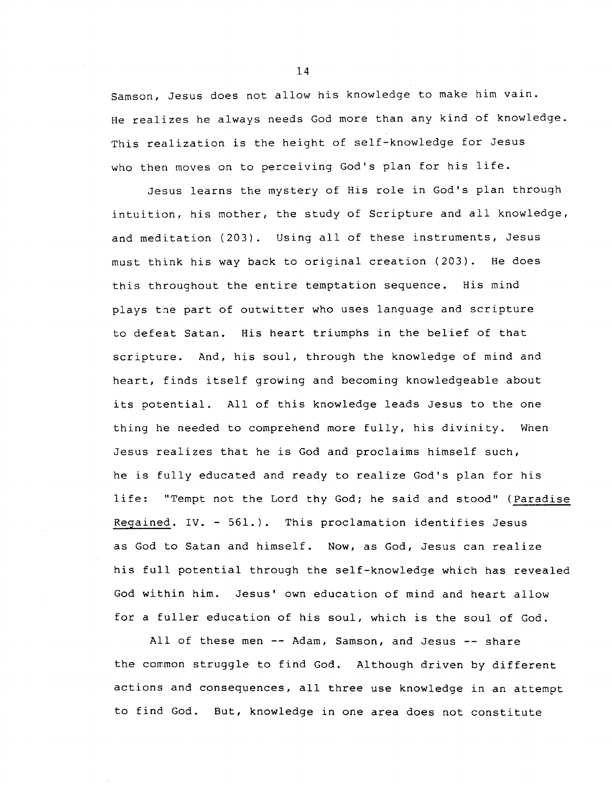Samson, Jesus does not allow his knowledge to make him vain. He realizes he always needs God more than any kind of knowledge. This realization is the height of self-knowledge for Jesus who then moves on to perceiving God's plan for his life.

Jesus learns the mystery of His role in God's plan through intuition, his mother, the study of Scripture and all knowledge, and meditation (203). Using all of these instruments, Jesus must think his way back to original creation (203). He does this throughout the entire temptation sequence. His mind plays the part of outwitter who uses language and scripture to defeat Satan. His heart triumphs in the belief of that scripture. And, his soul, through the knowledge of mind and heart, finds itself growing and becoming knowledgeable about its potential. All of this knowledge leads Jesus to the one thing he needed to comprehend more fully, his divinity. When Jesus realizes that he is God and proclaims himself such, he is fully educated and ready to realize God's plan for his life: "Tempt not the Lord thy God; he said and stood" (Paradise Regained. IV. - 561.). This proclamation identifies Jesus as God to Satan and himself. Now, as God, Jesus can realize his full potential through the self-knowledge which has revealed God within him. Jesus' own education of mind and heart allow for a fuller education of his soul, which is the soul of God.

All of these men -- Adam, Samson, and Jesus -- share the common struggle to find God. Although driven by different actions and consequences, all three use knowledge in an attempt to find God. But, knowledge in one area does not constitute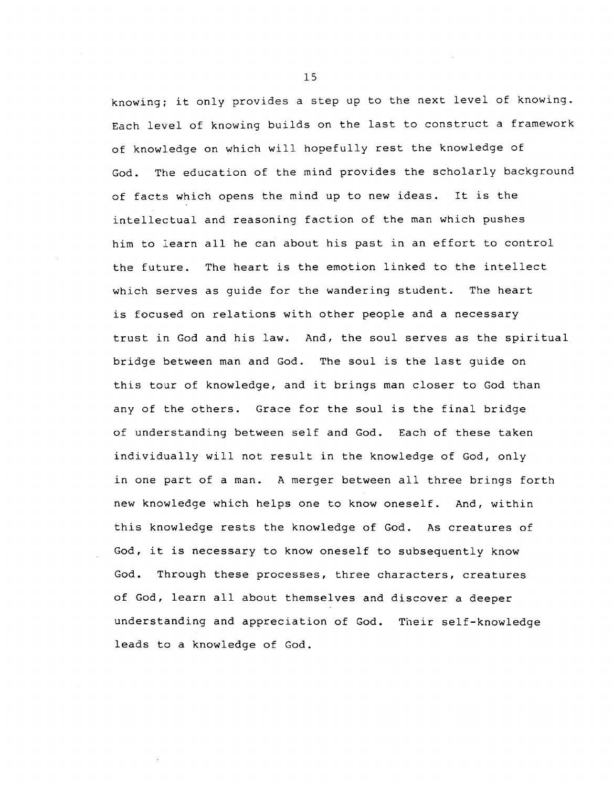knowing; it only provides a step up to the next level of knowing. Each level of knowing builds on the last to construct a framework of knowledge on which will hopefully rest the knowledge of God. The education of the mind provides the scholarly background of facts which opens the mind up to new ideas. It is the intellectual and reasoning faction of the man which pushes him to learn all he can about his past in an effort to control the future. The heart is the emotion linked to the intellect which serves as guide for the wandering student. The heart is focused on relations with other people and a necessary trust in God and his law. And, the soul serves as the spiritual bridge between man and God. The soul is the last guide on this tour of knowledge, and it brings man closer to God than any of the others. Grace for the soul is the final bridge of understanding between self and God. Each of these taken individually will not result in the knowledge of God, only in one part of a man. A merger between all three brings forth new knowledge which helps one to know oneself. And, within this knowledge rests the knowledge of God. As creatures of God, it is necessary to know oneself to subsequently know God. Through these processes, three characters, creatures of God, learn all about themselves and discover a deeper understanding and appreciation of God. Their self-knowledge leads to a knowledge of God.